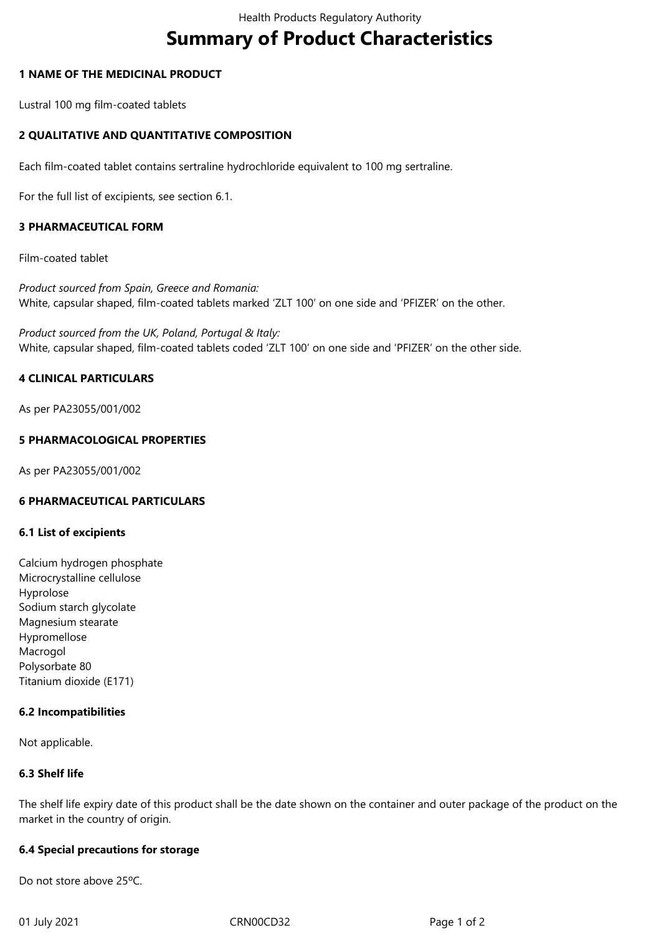# **Summary of Product Characteristics**

## **1 NAME OF THE MEDICINAL PRODUCT**

Lustral 100 mg film-coated tablets

## **2 QUALITATIVE AND QUANTITATIVE COMPOSITION**

Each film-coated tablet contains sertraline hydrochloride equivalent to 100 mg sertraline.

For the full list of excipients, see section 6.1.

## **3 PHARMACEUTICAL FORM**

Film-coated tablet

*Product sourced from Spain, Greece and Romania:*  White, capsular shaped, film-coated tablets marked 'ZLT 100' on one side and 'PFIZER' on the other.

*Product sourced from the UK, Poland, Portugal & Italy:*  White, capsular shaped, film-coated tablets coded 'ZLT 100' on one side and 'PFIZER' on the other side.

## **4 CLINICAL PARTICULARS**

As per PA23055/001/002

## **5 PHARMACOLOGICAL PROPERTIES**

As per PA23055/001/002

#### **6 PHARMACEUTICAL PARTICULARS**

#### **6.1 List of excipients**

Calcium hydrogen phosphate Microcrystalline cellulose Hyprolose Sodium starch glycolate Magnesium stearate Hypromellose Macrogol Polysorbate 80 Titanium dioxide (E171)

#### **6.2 Incompatibilities**

Not applicable.

#### **6.3 Shelf life**

The shelf life expiry date of this product shall be the date shown on the container and outer package of the product on the market in the country of origin.

#### **6.4 Special precautions for storage**

Do not store above 25ºC.

01 July 2021 **CRN00CD32** CRN00CD32 Page 1 of 2